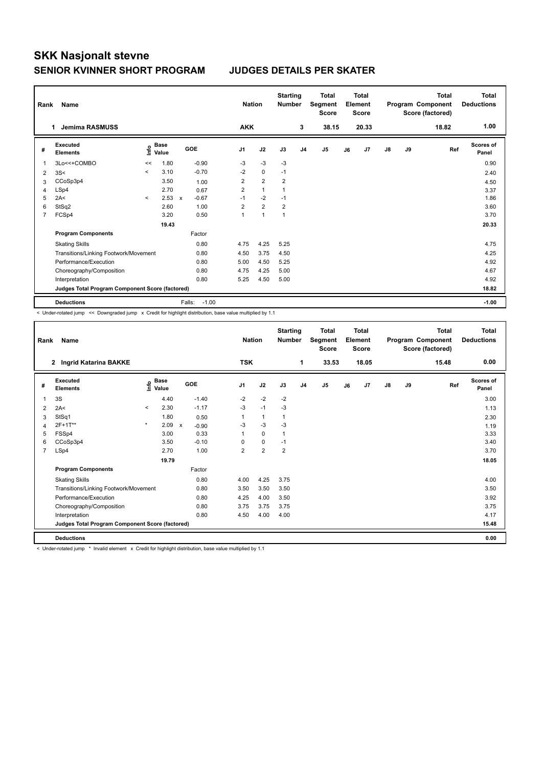## **SKK Nasjonalt stevne SENIOR KVINNER SHORT PROGRAM JUDGES DETAILS PER SKATER**

| Rank                                            | Name                                  |         | <b>Nation</b>                      |                           | <b>Starting</b><br><b>Number</b> | <b>Total</b><br>Segment<br><b>Score</b> | <b>Total</b><br>Element<br><b>Score</b> |                | Program Component |                | <b>Total</b><br>Score (factored) | <b>Total</b><br><b>Deductions</b> |               |    |       |                           |
|-------------------------------------------------|---------------------------------------|---------|------------------------------------|---------------------------|----------------------------------|-----------------------------------------|-----------------------------------------|----------------|-------------------|----------------|----------------------------------|-----------------------------------|---------------|----|-------|---------------------------|
|                                                 | Jemima RASMUSS<br>1                   |         |                                    |                           |                                  | <b>AKK</b>                              |                                         |                | 3                 | 38.15          |                                  | 20.33                             |               |    | 18.82 | 1.00                      |
| #                                               | Executed<br><b>Elements</b>           |         | <b>Base</b><br>$\frac{6}{5}$ Value | GOE                       |                                  | J <sub>1</sub>                          | J2                                      | J3             | J <sub>4</sub>    | J <sub>5</sub> | J6                               | J <sub>7</sub>                    | $\mathsf{J}8$ | J9 | Ref   | <b>Scores of</b><br>Panel |
| $\mathbf{1}$                                    | 3Lo<<+COMBO                           | <<      | 1.80                               |                           | $-0.90$                          | $-3$                                    | $-3$                                    | -3             |                   |                |                                  |                                   |               |    |       | 0.90                      |
| 2                                               | 3S<                                   | $\prec$ | 3.10                               |                           | $-0.70$                          | $-2$                                    | $\mathbf 0$                             | $-1$           |                   |                |                                  |                                   |               |    |       | 2.40                      |
| 3                                               | CCoSp3p4                              |         | 3.50                               |                           | 1.00                             | 2                                       | $\overline{2}$                          | $\overline{2}$ |                   |                |                                  |                                   |               |    |       | 4.50                      |
| 4                                               | LSp4                                  |         | 2.70                               |                           | 0.67                             | $\overline{2}$                          | $\mathbf{1}$                            |                |                   |                |                                  |                                   |               |    |       | 3.37                      |
| 5                                               | 2A<                                   | $\prec$ | 2.53                               | $\boldsymbol{\mathsf{x}}$ | $-0.67$                          | $-1$                                    | $-2$                                    | $-1$           |                   |                |                                  |                                   |               |    |       | 1.86                      |
| 6                                               | StSq2                                 |         | 2.60                               |                           | 1.00                             | $\overline{2}$                          | $\overline{2}$                          | $\overline{2}$ |                   |                |                                  |                                   |               |    |       | 3.60                      |
| $\overline{7}$                                  | FCSp4                                 |         | 3.20                               |                           | 0.50                             | $\mathbf{1}$                            | 1                                       | $\mathbf{1}$   |                   |                |                                  |                                   |               |    |       | 3.70                      |
|                                                 | 19.43                                 |         |                                    |                           |                                  |                                         |                                         |                |                   |                |                                  |                                   |               |    |       | 20.33                     |
|                                                 | <b>Program Components</b>             |         |                                    |                           | Factor                           |                                         |                                         |                |                   |                |                                  |                                   |               |    |       |                           |
|                                                 | <b>Skating Skills</b>                 |         |                                    |                           | 0.80                             | 4.75                                    | 4.25                                    | 5.25           |                   |                |                                  |                                   |               |    |       | 4.75                      |
|                                                 | Transitions/Linking Footwork/Movement |         |                                    |                           | 0.80                             | 4.50                                    | 3.75                                    | 4.50           |                   |                |                                  |                                   |               |    |       | 4.25                      |
|                                                 | Performance/Execution                 |         |                                    |                           | 0.80                             | 5.00                                    | 4.50                                    | 5.25           |                   |                |                                  |                                   |               |    |       | 4.92                      |
|                                                 | Choreography/Composition              |         |                                    |                           | 0.80                             | 4.75                                    | 4.25                                    | 5.00           |                   |                |                                  |                                   |               |    |       | 4.67                      |
|                                                 | Interpretation                        |         |                                    |                           | 0.80                             | 5.25                                    | 4.50                                    | 5.00           |                   |                |                                  |                                   |               |    |       | 4.92                      |
| Judges Total Program Component Score (factored) |                                       |         |                                    |                           |                                  |                                         |                                         |                |                   |                |                                  | 18.82                             |               |    |       |                           |
|                                                 | <b>Deductions</b>                     |         |                                    | Falls:                    | $-1.00$                          |                                         |                                         |                |                   |                |                                  |                                   |               |    |       | $-1.00$                   |

< Under-rotated jump << Downgraded jump x Credit for highlight distribution, base value multiplied by 1.1

| Rank           | Name                                            |         | <b>Nation</b>                               |                           | <b>Starting</b><br><b>Number</b> | <b>Total</b><br>Segment<br><b>Score</b> |                |                | <b>Total</b><br>Element<br><b>Score</b> |       | <b>Total</b><br>Program Component<br>Score (factored) | Total<br><b>Deductions</b> |               |    |       |                           |
|----------------|-------------------------------------------------|---------|---------------------------------------------|---------------------------|----------------------------------|-----------------------------------------|----------------|----------------|-----------------------------------------|-------|-------------------------------------------------------|----------------------------|---------------|----|-------|---------------------------|
|                | Ingrid Katarina BAKKE<br>$\mathbf{2}$           |         |                                             |                           |                                  | <b>TSK</b>                              |                |                | 1                                       | 33.53 |                                                       | 18.05                      |               |    | 15.48 | 0.00                      |
| #              | Executed<br><b>Elements</b>                     |         | <b>Base</b><br>e <sup>Base</sup><br>⊆ Value |                           | <b>GOE</b>                       | J <sub>1</sub>                          | J2             | J3             | J <sub>4</sub>                          | J5    | J6                                                    | J <sub>7</sub>             | $\mathsf{J}8$ | J9 | Ref   | <b>Scores of</b><br>Panel |
|                | 3S                                              |         | 4.40                                        |                           | $-1.40$                          | $-2$                                    | $-2$           | $-2$           |                                         |       |                                                       |                            |               |    |       | 3.00                      |
| 2              | 2A<                                             | $\prec$ | 2.30                                        |                           | $-1.17$                          | $-3$                                    | $-1$           | $-3$           |                                         |       |                                                       |                            |               |    |       | 1.13                      |
| 3              | StSq1                                           |         | 1.80                                        |                           | 0.50                             | 1                                       | $\mathbf{1}$   | 1              |                                         |       |                                                       |                            |               |    |       | 2.30                      |
| 4              | 2F+1T**                                         | $\star$ | 2.09                                        | $\boldsymbol{\mathsf{x}}$ | $-0.90$                          | -3                                      | $-3$           | $-3$           |                                         |       |                                                       |                            |               |    |       | 1.19                      |
| 5              | FSSp4                                           |         | 3.00                                        |                           | 0.33                             | 1                                       | $\mathbf 0$    | $\mathbf{1}$   |                                         |       |                                                       |                            |               |    |       | 3.33                      |
| 6              | CCoSp3p4                                        |         | 3.50                                        |                           | $-0.10$                          | 0                                       | $\pmb{0}$      | $-1$           |                                         |       |                                                       |                            |               |    |       | 3.40                      |
| $\overline{7}$ | LSp4                                            |         | 2.70                                        |                           | 1.00                             | $\overline{2}$                          | $\overline{2}$ | $\overline{2}$ |                                         |       |                                                       |                            |               |    |       | 3.70                      |
|                | 19.79                                           |         |                                             |                           |                                  |                                         |                |                |                                         |       |                                                       |                            |               |    |       | 18.05                     |
|                | <b>Program Components</b>                       |         |                                             |                           | Factor                           |                                         |                |                |                                         |       |                                                       |                            |               |    |       |                           |
|                | <b>Skating Skills</b>                           |         |                                             |                           | 0.80                             | 4.00                                    | 4.25           | 3.75           |                                         |       |                                                       |                            |               |    |       | 4.00                      |
|                | 0.80<br>Transitions/Linking Footwork/Movement   |         |                                             |                           |                                  | 3.50                                    | 3.50           | 3.50           |                                         |       |                                                       |                            |               |    |       | 3.50                      |
|                | Performance/Execution                           |         |                                             |                           | 0.80                             | 4.25                                    | 4.00           | 3.50           |                                         |       |                                                       |                            |               |    |       | 3.92                      |
|                | Choreography/Composition                        |         |                                             |                           | 0.80                             | 3.75                                    | 3.75           | 3.75           |                                         |       |                                                       |                            |               |    |       | 3.75                      |
|                | Interpretation                                  |         |                                             |                           | 0.80                             | 4.50                                    | 4.00           | 4.00           |                                         |       |                                                       |                            |               |    |       | 4.17                      |
|                | Judges Total Program Component Score (factored) |         |                                             |                           |                                  |                                         |                |                |                                         |       |                                                       |                            |               |    |       | 15.48                     |
|                | <b>Deductions</b>                               |         |                                             |                           |                                  |                                         |                |                |                                         |       |                                                       |                            |               |    |       | 0.00                      |

< Under-rotated jump \* Invalid element x Credit for highlight distribution, base value multiplied by 1.1